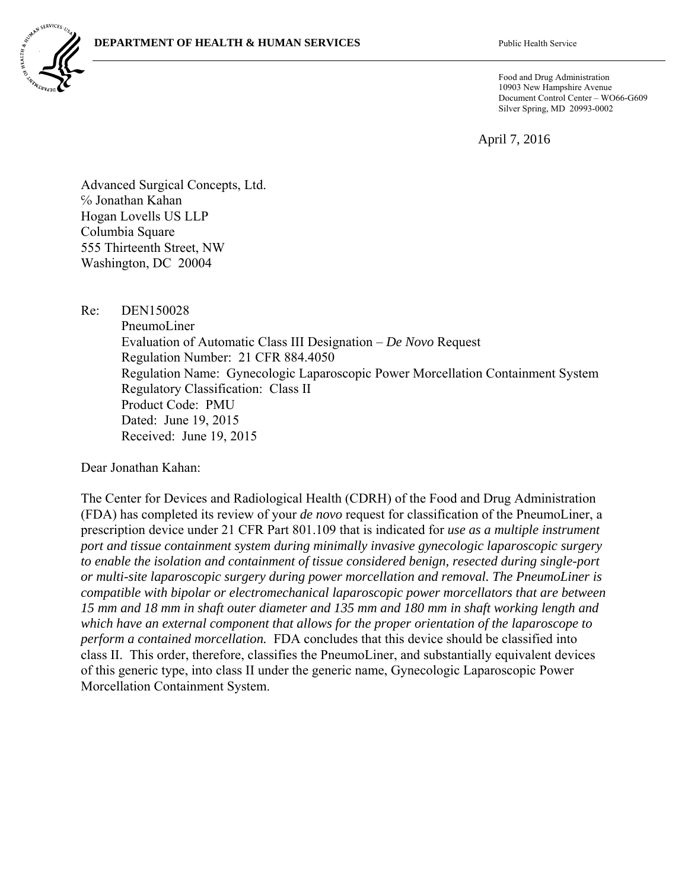

Food and Drug Administration 10903 New Hampshire Avenue Document Control Center – WO66-G609 Silver Spring, MD 20993-0002

April 7, 2016

Advanced Surgical Concepts, Ltd. ℅ Jonathan Kahan Hogan Lovells US LLP Columbia Square 555 Thirteenth Street, NW Washington, DC 20004

Re: DEN150028

 PneumoLiner Evaluation of Automatic Class III Designation – *De Novo* Request Regulation Number: 21 CFR 884.4050 Regulation Name: Gynecologic Laparoscopic Power Morcellation Containment System Regulatory Classification: Class II Product Code: PMU Dated: June 19, 2015 Received: June 19, 2015

Dear Jonathan Kahan:

The Center for Devices and Radiological Health (CDRH) of the Food and Drug Administration (FDA) has completed its review of your *de novo* request for classification of the PneumoLiner, a prescription device under 21 CFR Part 801.109 that is indicated for *use as a multiple instrument port and tissue containment system during minimally invasive gynecologic laparoscopic surgery to enable the isolation and containment of tissue considered benign, resected during single-port or multi-site laparoscopic surgery during power morcellation and removal. The PneumoLiner is compatible with bipolar or electromechanical laparoscopic power morcellators that are between 15 mm and 18 mm in shaft outer diameter and 135 mm and 180 mm in shaft working length and which have an external component that allows for the proper orientation of the laparoscope to perform a contained morcellation.* FDA concludes that this device should be classified into class II. This order, therefore, classifies the PneumoLiner, and substantially equivalent devices of this generic type, into class II under the generic name, Gynecologic Laparoscopic Power Morcellation Containment System.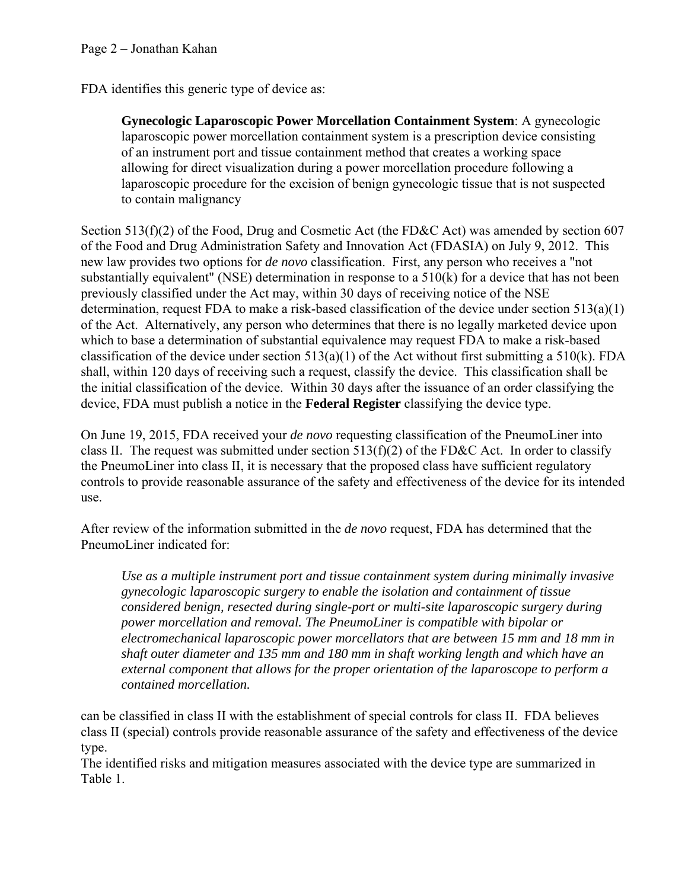FDA identifies this generic type of device as:

**Gynecologic Laparoscopic Power Morcellation Containment System**: A gynecologic laparoscopic power morcellation containment system is a prescription device consisting of an instrument port and tissue containment method that creates a working space allowing for direct visualization during a power morcellation procedure following a laparoscopic procedure for the excision of benign gynecologic tissue that is not suspected to contain malignancy

Section 513(f)(2) of the Food, Drug and Cosmetic Act (the FD&C Act) was amended by section 607 of the Food and Drug Administration Safety and Innovation Act (FDASIA) on July 9, 2012. This new law provides two options for *de novo* classification. First, any person who receives a "not substantially equivalent" (NSE) determination in response to a 510(k) for a device that has not been previously classified under the Act may, within 30 days of receiving notice of the NSE determination, request FDA to make a risk-based classification of the device under section 513(a)(1) of the Act. Alternatively, any person who determines that there is no legally marketed device upon which to base a determination of substantial equivalence may request FDA to make a risk-based classification of the device under section  $513(a)(1)$  of the Act without first submitting a  $510(k)$ . FDA shall, within 120 days of receiving such a request, classify the device. This classification shall be the initial classification of the device. Within 30 days after the issuance of an order classifying the device, FDA must publish a notice in the **Federal Register** classifying the device type.

On June 19, 2015, FDA received your *de novo* requesting classification of the PneumoLiner into class II. The request was submitted under section  $513(f)(2)$  of the FD&C Act. In order to classify the PneumoLiner into class II, it is necessary that the proposed class have sufficient regulatory controls to provide reasonable assurance of the safety and effectiveness of the device for its intended use.

After review of the information submitted in the *de novo* request, FDA has determined that the PneumoLiner indicated for:

*Use as a multiple instrument port and tissue containment system during minimally invasive gynecologic laparoscopic surgery to enable the isolation and containment of tissue considered benign, resected during single-port or multi-site laparoscopic surgery during power morcellation and removal. The PneumoLiner is compatible with bipolar or electromechanical laparoscopic power morcellators that are between 15 mm and 18 mm in shaft outer diameter and 135 mm and 180 mm in shaft working length and which have an external component that allows for the proper orientation of the laparoscope to perform a contained morcellation.* 

can be classified in class II with the establishment of special controls for class II. FDA believes class II (special) controls provide reasonable assurance of the safety and effectiveness of the device type.

The identified risks and mitigation measures associated with the device type are summarized in Table 1.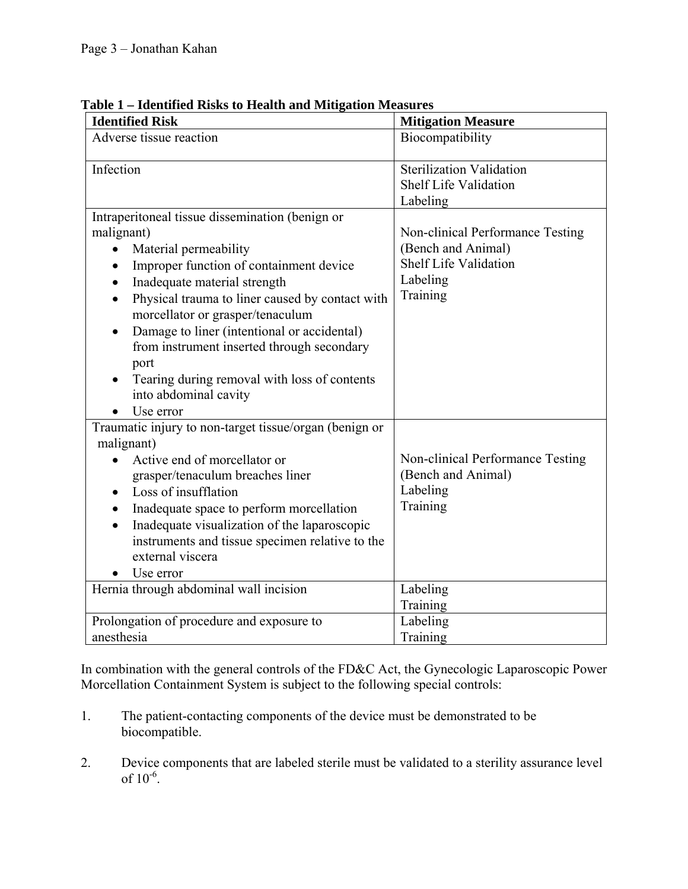| Tuentheu Kisks to Health and Milligation Measures<br><b>Identified Risk</b>         | <b>Mitigation Measure</b>                |
|-------------------------------------------------------------------------------------|------------------------------------------|
| Adverse tissue reaction                                                             | Biocompatibility                         |
| Infection                                                                           | <b>Sterilization Validation</b>          |
|                                                                                     | <b>Shelf Life Validation</b><br>Labeling |
| Intraperitoneal tissue dissemination (benign or                                     |                                          |
| malignant)                                                                          | Non-clinical Performance Testing         |
| Material permeability<br>$\bullet$                                                  | (Bench and Animal)                       |
| Improper function of containment device                                             | <b>Shelf Life Validation</b>             |
| Inadequate material strength                                                        | Labeling                                 |
| Physical trauma to liner caused by contact with<br>morcellator or grasper/tenaculum | Training                                 |
| Damage to liner (intentional or accidental)                                         |                                          |
| from instrument inserted through secondary                                          |                                          |
| port                                                                                |                                          |
| Tearing during removal with loss of contents                                        |                                          |
| into abdominal cavity                                                               |                                          |
| Use error                                                                           |                                          |
| Traumatic injury to non-target tissue/organ (benign or                              |                                          |
| malignant)                                                                          |                                          |
| Active end of morcellator or                                                        | Non-clinical Performance Testing         |
| grasper/tenaculum breaches liner                                                    | (Bench and Animal)                       |
| Loss of insufflation                                                                | Labeling                                 |
| Inadequate space to perform morcellation                                            | Training                                 |
| Inadequate visualization of the laparoscopic                                        |                                          |
| instruments and tissue specimen relative to the                                     |                                          |
| external viscera                                                                    |                                          |
| Use error                                                                           |                                          |
| Hernia through abdominal wall incision                                              | Labeling                                 |
|                                                                                     | Training                                 |
| Prolongation of procedure and exposure to                                           | Labeling                                 |
| anesthesia                                                                          | Training                                 |

**Table 1 – Identified Risks to Health and Mitigation Measures** 

In combination with the general controls of the FD&C Act, the Gynecologic Laparoscopic Power Morcellation Containment System is subject to the following special controls:

- 1. The patient-contacting components of the device must be demonstrated to be biocompatible.
- 2. Device components that are labeled sterile must be validated to a sterility assurance level of  $10^{-6}$ .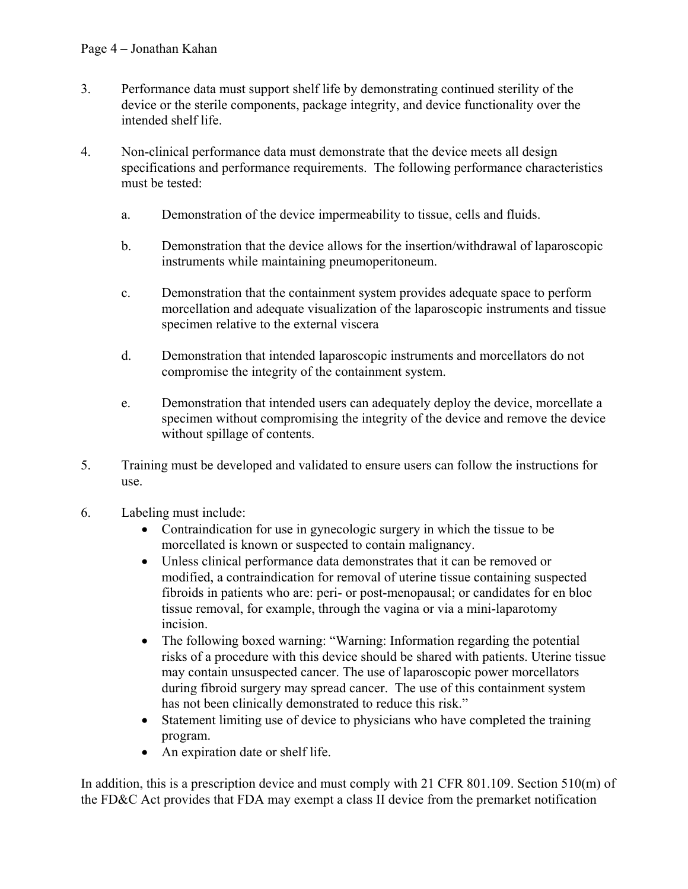- 3. Performance data must support shelf life by demonstrating continued sterility of the device or the sterile components, package integrity, and device functionality over the intended shelf life.
- 4. Non-clinical performance data must demonstrate that the device meets all design specifications and performance requirements. The following performance characteristics must be tested:
	- a. Demonstration of the device impermeability to tissue, cells and fluids.
	- b. Demonstration that the device allows for the insertion/withdrawal of laparoscopic instruments while maintaining pneumoperitoneum.
	- c. Demonstration that the containment system provides adequate space to perform morcellation and adequate visualization of the laparoscopic instruments and tissue specimen relative to the external viscera
	- d. Demonstration that intended laparoscopic instruments and morcellators do not compromise the integrity of the containment system.
	- e. Demonstration that intended users can adequately deploy the device, morcellate a specimen without compromising the integrity of the device and remove the device without spillage of contents.
- 5. Training must be developed and validated to ensure users can follow the instructions for use.
- 6. Labeling must include:
	- Contraindication for use in gynecologic surgery in which the tissue to be morcellated is known or suspected to contain malignancy.
	- Unless clinical performance data demonstrates that it can be removed or modified, a contraindication for removal of uterine tissue containing suspected fibroids in patients who are: peri- or post-menopausal; or candidates for en bloc tissue removal, for example, through the vagina or via a mini-laparotomy incision.
	- The following boxed warning: "Warning: Information regarding the potential risks of a procedure with this device should be shared with patients. Uterine tissue may contain unsuspected cancer. The use of laparoscopic power morcellators during fibroid surgery may spread cancer. The use of this containment system has not been clinically demonstrated to reduce this risk."
	- Statement limiting use of device to physicians who have completed the training program.
	- An expiration date or shelf life.

In addition, this is a prescription device and must comply with 21 CFR 801.109. Section 510(m) of the FD&C Act provides that FDA may exempt a class II device from the premarket notification